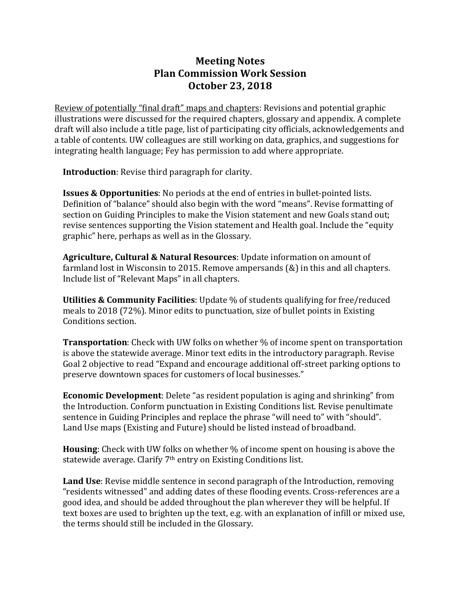## **Meeting Notes Plan Commission Work Session October 23, 2018**

Review of potentially "final draft" maps and chapters: Revisions and potential graphic illustrations were discussed for the required chapters, glossary and appendix. A complete draft will also include a title page, list of participating city officials, acknowledgements and a table of contents. UW colleagues are still working on data, graphics, and suggestions for integrating health language; Fey has permission to add where appropriate.

**Introduction**: Revise third paragraph for clarity.

**Issues & Opportunities:** No periods at the end of entries in bullet-pointed lists. Definition of "balance" should also begin with the word "means". Revise formatting of section on Guiding Principles to make the Vision statement and new Goals stand out; revise sentences supporting the Vision statement and Health goal. Include the "equity" graphic" here, perhaps as well as in the Glossary.

**Agriculture, Cultural & Natural Resources**: Update information on amount of farmland lost in Wisconsin to 2015. Remove ampersands  $(\&)$  in this and all chapters. Include list of "Relevant Maps" in all chapters.

**Utilities & Community Facilities**: Update % of students qualifying for free/reduced meals to 2018 (72%). Minor edits to punctuation, size of bullet points in Existing Conditions section.

**Transportation**: Check with UW folks on whether % of income spent on transportation is above the statewide average. Minor text edits in the introductory paragraph. Revise Goal 2 objective to read "Expand and encourage additional off-street parking options to preserve downtown spaces for customers of local businesses."

**Economic Development**: Delete "as resident population is aging and shrinking" from the Introduction. Conform punctuation in Existing Conditions list. Revise penultimate sentence in Guiding Principles and replace the phrase "will need to" with "should". Land Use maps (Existing and Future) should be listed instead of broadband.

**Housing**: Check with UW folks on whether % of income spent on housing is above the statewide average. Clarify  $7<sup>th</sup>$  entry on Existing Conditions list.

**Land Use**: Revise middle sentence in second paragraph of the Introduction, removing "residents witnessed" and adding dates of these flooding events. Cross-references are a good idea, and should be added throughout the plan wherever they will be helpful. If text boxes are used to brighten up the text, e.g. with an explanation of infill or mixed use, the terms should still be included in the Glossary.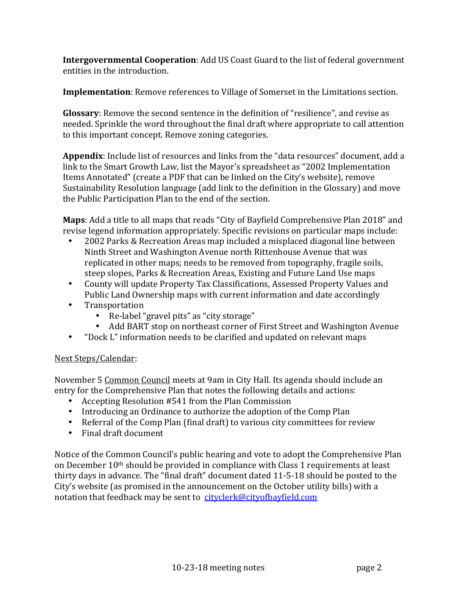**Intergovernmental Cooperation:** Add US Coast Guard to the list of federal government entities in the introduction.

**Implementation**: Remove references to Village of Somerset in the Limitations section.

**Glossary**: Remove the second sentence in the definition of "resilience", and revise as needed. Sprinkle the word throughout the final draft where appropriate to call attention to this important concept. Remove zoning categories.

**Appendix**: Include list of resources and links from the "data resources" document, add a link to the Smart Growth Law, list the Mayor's spreadsheet as "2002 Implementation Items Annotated" (create a PDF that can be linked on the City's website), remove Sustainability Resolution language (add link to the definition in the Glossary) and move the Public Participation Plan to the end of the section.

**Maps**: Add a title to all maps that reads "City of Bayfield Comprehensive Plan 2018" and revise legend information appropriately. Specific revisions on particular maps include:

- 2002 Parks & Recreation Areas map included a misplaced diagonal line between Ninth Street and Washington Avenue north Rittenhouse Avenue that was replicated in other maps; needs to be removed from topography, fragile soils, steep slopes, Parks & Recreation Areas, Existing and Future Land Use maps
- County will update Property Tax Classifications, Assessed Property Values and Public Land Ownership maps with current information and date accordingly
- Transportation
	- Re-label "gravel pits" as "city storage"
	- Add BART stop on northeast corner of First Street and Washington Avenue
- "Dock L" information needs to be clarified and updated on relevant maps

## Next Steps/Calendar:

November 5 Common Council meets at 9am in City Hall. Its agenda should include an entry for the Comprehensive Plan that notes the following details and actions:

- Accepting Resolution #541 from the Plan Commission
- Introducing an Ordinance to authorize the adoption of the Comp Plan
- Referral of the Comp Plan (final draft) to various city committees for review
- Final draft document

Notice of the Common Council's public hearing and vote to adopt the Comprehensive Plan on December  $10<sup>th</sup>$  should be provided in compliance with Class 1 requirements at least thirty days in advance. The "final draft" document dated 11-5-18 should be posted to the City's website (as promised in the announcement on the October utility bills) with a notation that feedback may be sent to  $cityclerk@cityofbayfield.com$